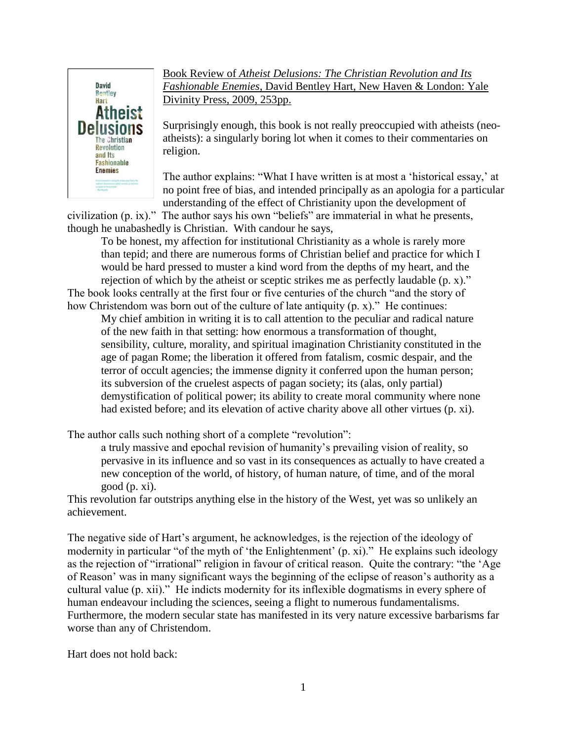

Book Review of *Atheist Delusions: The Christian Revolution and Its Fashionable Enemies*, David Bentley Hart, New Haven & London: Yale Divinity Press, 2009, 253pp.

Surprisingly enough, this book is not really preoccupied with atheists (neoatheists): a singularly boring lot when it comes to their commentaries on religion.

The author explains: "What I have written is at most a 'historical essay,' at no point free of bias, and intended principally as an apologia for a particular understanding of the effect of Christianity upon the development of

civilization (p. ix)." The author says his own "beliefs" are immaterial in what he presents, though he unabashedly is Christian. With candour he says,

To be honest, my affection for institutional Christianity as a whole is rarely more than tepid; and there are numerous forms of Christian belief and practice for which I would be hard pressed to muster a kind word from the depths of my heart, and the rejection of which by the atheist or sceptic strikes me as perfectly laudable (p. x)."

The book looks centrally at the first four or five centuries of the church "and the story of how Christendom was born out of the culture of late antiquity (p. x)." He continues:

My chief ambition in writing it is to call attention to the peculiar and radical nature of the new faith in that setting: how enormous a transformation of thought, sensibility, culture, morality, and spiritual imagination Christianity constituted in the age of pagan Rome; the liberation it offered from fatalism, cosmic despair, and the terror of occult agencies; the immense dignity it conferred upon the human person; its subversion of the cruelest aspects of pagan society; its (alas, only partial) demystification of political power; its ability to create moral community where none had existed before; and its elevation of active charity above all other virtues (p. xi).

The author calls such nothing short of a complete "revolution":

a truly massive and epochal revision of humanity's prevailing vision of reality, so pervasive in its influence and so vast in its consequences as actually to have created a new conception of the world, of history, of human nature, of time, and of the moral good (p. xi).

This revolution far outstrips anything else in the history of the West, yet was so unlikely an achievement.

The negative side of Hart's argument, he acknowledges, is the rejection of the ideology of modernity in particular "of the myth of 'the Enlightenment' (p. xi)." He explains such ideology as the rejection of "irrational" religion in favour of critical reason. Quite the contrary: "the 'Age of Reason' was in many significant ways the beginning of the eclipse of reason's authority as a cultural value (p. xii)." He indicts modernity for its inflexible dogmatisms in every sphere of human endeavour including the sciences, seeing a flight to numerous fundamentalisms. Furthermore, the modern secular state has manifested in its very nature excessive barbarisms far worse than any of Christendom.

Hart does not hold back: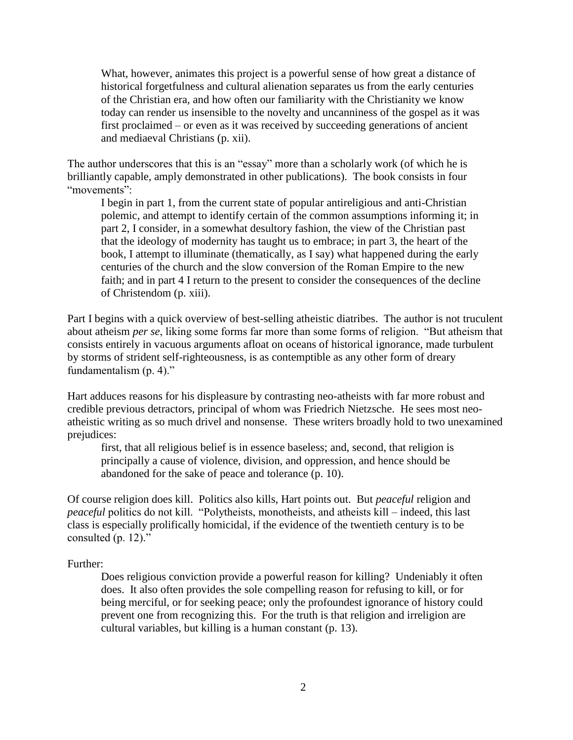What, however, animates this project is a powerful sense of how great a distance of historical forgetfulness and cultural alienation separates us from the early centuries of the Christian era, and how often our familiarity with the Christianity we know today can render us insensible to the novelty and uncanniness of the gospel as it was first proclaimed – or even as it was received by succeeding generations of ancient and mediaeval Christians (p. xii).

The author underscores that this is an "essay" more than a scholarly work (of which he is brilliantly capable, amply demonstrated in other publications). The book consists in four "movements":

I begin in part 1, from the current state of popular antireligious and anti-Christian polemic, and attempt to identify certain of the common assumptions informing it; in part 2, I consider, in a somewhat desultory fashion, the view of the Christian past that the ideology of modernity has taught us to embrace; in part 3, the heart of the book, I attempt to illuminate (thematically, as I say) what happened during the early centuries of the church and the slow conversion of the Roman Empire to the new faith; and in part 4 I return to the present to consider the consequences of the decline of Christendom (p. xiii).

Part I begins with a quick overview of best-selling atheistic diatribes. The author is not truculent about atheism *per se*, liking some forms far more than some forms of religion. "But atheism that consists entirely in vacuous arguments afloat on oceans of historical ignorance, made turbulent by storms of strident self-righteousness, is as contemptible as any other form of dreary fundamentalism (p. 4)."

Hart adduces reasons for his displeasure by contrasting neo-atheists with far more robust and credible previous detractors, principal of whom was Friedrich Nietzsche. He sees most neoatheistic writing as so much drivel and nonsense. These writers broadly hold to two unexamined prejudices:

first, that all religious belief is in essence baseless; and, second, that religion is principally a cause of violence, division, and oppression, and hence should be abandoned for the sake of peace and tolerance (p. 10).

Of course religion does kill. Politics also kills, Hart points out. But *peaceful* religion and *peaceful* politics do not kill. "Polytheists, monotheists, and atheists kill – indeed, this last class is especially prolifically homicidal, if the evidence of the twentieth century is to be consulted (p. 12)."

Further:

Does religious conviction provide a powerful reason for killing? Undeniably it often does. It also often provides the sole compelling reason for refusing to kill, or for being merciful, or for seeking peace; only the profoundest ignorance of history could prevent one from recognizing this. For the truth is that religion and irreligion are cultural variables, but killing is a human constant (p. 13).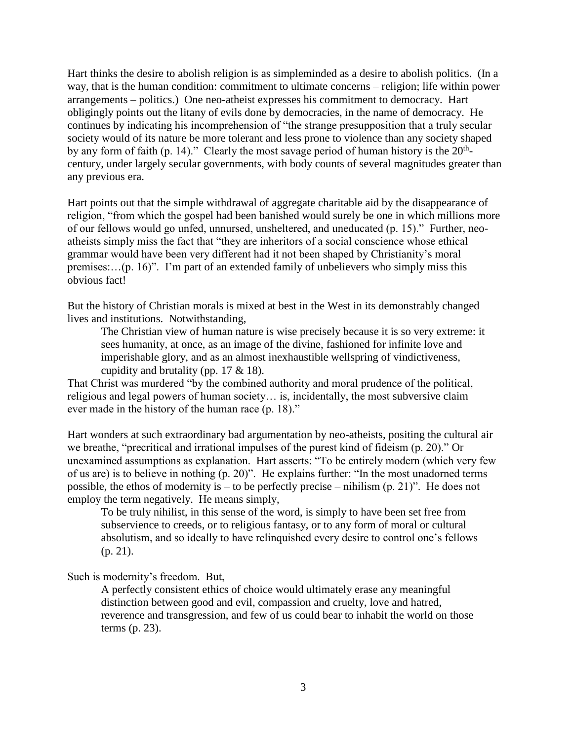Hart thinks the desire to abolish religion is as simpleminded as a desire to abolish politics. (In a way, that is the human condition: commitment to ultimate concerns – religion; life within power arrangements – politics.) One neo-atheist expresses his commitment to democracy. Hart obligingly points out the litany of evils done by democracies, in the name of democracy. He continues by indicating his incomprehension of "the strange presupposition that a truly secular society would of its nature be more tolerant and less prone to violence than any society shaped by any form of faith (p. 14)." Clearly the most savage period of human history is the  $20<sup>th</sup>$ century, under largely secular governments, with body counts of several magnitudes greater than any previous era.

Hart points out that the simple withdrawal of aggregate charitable aid by the disappearance of religion, "from which the gospel had been banished would surely be one in which millions more of our fellows would go unfed, unnursed, unsheltered, and uneducated (p. 15)." Further, neoatheists simply miss the fact that "they are inheritors of a social conscience whose ethical grammar would have been very different had it not been shaped by Christianity's moral premises:…(p. 16)". I'm part of an extended family of unbelievers who simply miss this obvious fact!

But the history of Christian morals is mixed at best in the West in its demonstrably changed lives and institutions. Notwithstanding,

The Christian view of human nature is wise precisely because it is so very extreme: it sees humanity, at once, as an image of the divine, fashioned for infinite love and imperishable glory, and as an almost inexhaustible wellspring of vindictiveness, cupidity and brutality (pp.  $17 \& 18$ ).

That Christ was murdered "by the combined authority and moral prudence of the political, religious and legal powers of human society… is, incidentally, the most subversive claim ever made in the history of the human race (p. 18)."

Hart wonders at such extraordinary bad argumentation by neo-atheists, positing the cultural air we breathe, "precritical and irrational impulses of the purest kind of fideism (p. 20)." Or unexamined assumptions as explanation. Hart asserts: "To be entirely modern (which very few of us are) is to believe in nothing (p. 20)". He explains further: "In the most unadorned terms possible, the ethos of modernity is – to be perfectly precise – nihilism  $(p, 21)$ ". He does not employ the term negatively. He means simply,

To be truly nihilist, in this sense of the word, is simply to have been set free from subservience to creeds, or to religious fantasy, or to any form of moral or cultural absolutism, and so ideally to have relinquished every desire to control one's fellows (p. 21).

Such is modernity's freedom. But,

A perfectly consistent ethics of choice would ultimately erase any meaningful distinction between good and evil, compassion and cruelty, love and hatred, reverence and transgression, and few of us could bear to inhabit the world on those terms (p. 23).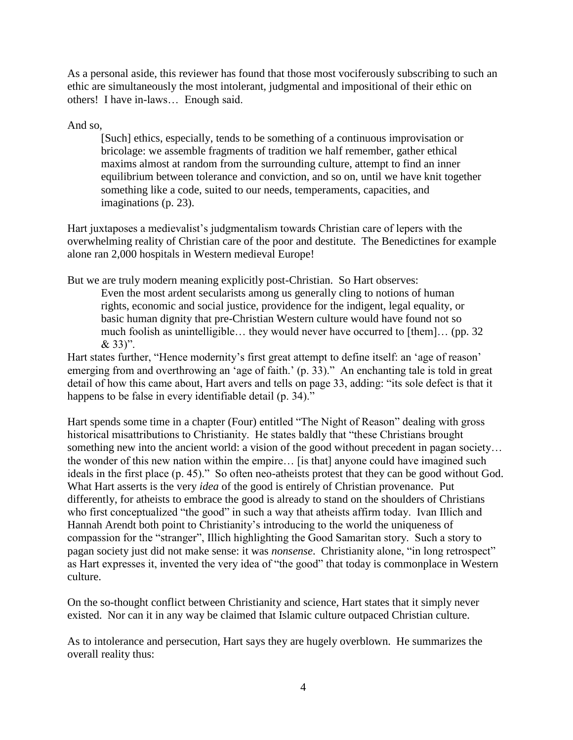As a personal aside, this reviewer has found that those most vociferously subscribing to such an ethic are simultaneously the most intolerant, judgmental and impositional of their ethic on others! I have in-laws… Enough said.

And so,

[Such] ethics, especially, tends to be something of a continuous improvisation or bricolage: we assemble fragments of tradition we half remember, gather ethical maxims almost at random from the surrounding culture, attempt to find an inner equilibrium between tolerance and conviction, and so on, until we have knit together something like a code, suited to our needs, temperaments, capacities, and imaginations (p. 23).

Hart juxtaposes a medievalist's judgmentalism towards Christian care of lepers with the overwhelming reality of Christian care of the poor and destitute. The Benedictines for example alone ran 2,000 hospitals in Western medieval Europe!

But we are truly modern meaning explicitly post-Christian. So Hart observes:

Even the most ardent secularists among us generally cling to notions of human rights, economic and social justice, providence for the indigent, legal equality, or basic human dignity that pre-Christian Western culture would have found not so much foolish as unintelligible… they would never have occurred to [them]… (pp. 32 & 33)".

Hart states further, "Hence modernity's first great attempt to define itself: an 'age of reason' emerging from and overthrowing an 'age of faith.' (p. 33)." An enchanting tale is told in great detail of how this came about, Hart avers and tells on page 33, adding: "its sole defect is that it happens to be false in every identifiable detail (p. 34)."

Hart spends some time in a chapter (Four) entitled "The Night of Reason" dealing with gross historical misattributions to Christianity. He states baldly that "these Christians brought something new into the ancient world: a vision of the good without precedent in pagan society... the wonder of this new nation within the empire… [is that] anyone could have imagined such ideals in the first place (p. 45)." So often neo-atheists protest that they can be good without God. What Hart asserts is the very *idea* of the good is entirely of Christian provenance. Put differently, for atheists to embrace the good is already to stand on the shoulders of Christians who first conceptualized "the good" in such a way that atheists affirm today. Ivan Illich and Hannah Arendt both point to Christianity's introducing to the world the uniqueness of compassion for the "stranger", Illich highlighting the Good Samaritan story. Such a story to pagan society just did not make sense: it was *nonsense*. Christianity alone, "in long retrospect" as Hart expresses it, invented the very idea of "the good" that today is commonplace in Western culture.

On the so-thought conflict between Christianity and science, Hart states that it simply never existed. Nor can it in any way be claimed that Islamic culture outpaced Christian culture.

As to intolerance and persecution, Hart says they are hugely overblown. He summarizes the overall reality thus: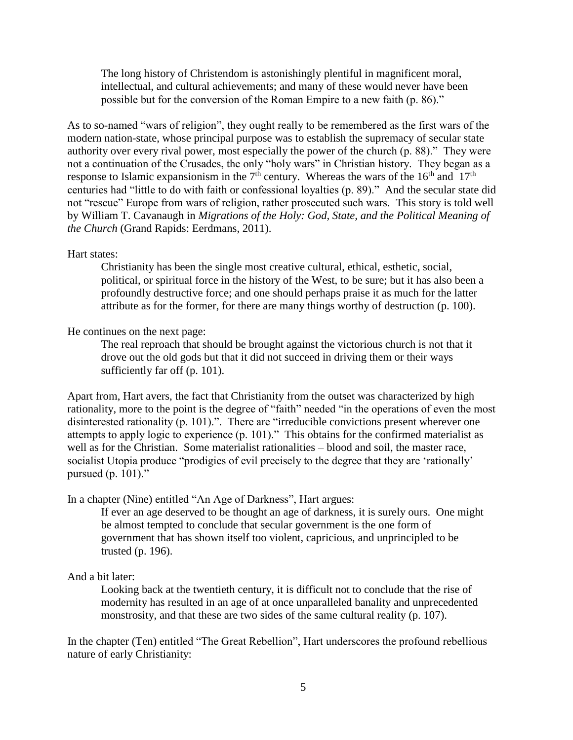The long history of Christendom is astonishingly plentiful in magnificent moral, intellectual, and cultural achievements; and many of these would never have been possible but for the conversion of the Roman Empire to a new faith (p. 86)."

As to so-named "wars of religion", they ought really to be remembered as the first wars of the modern nation-state, whose principal purpose was to establish the supremacy of secular state authority over every rival power, most especially the power of the church (p. 88)." They were not a continuation of the Crusades, the only "holy wars" in Christian history. They began as a response to Islamic expansionism in the  $7<sup>th</sup>$  century. Whereas the wars of the  $16<sup>th</sup>$  and  $17<sup>th</sup>$ centuries had "little to do with faith or confessional loyalties (p. 89)." And the secular state did not "rescue" Europe from wars of religion, rather prosecuted such wars. This story is told well by William T. Cavanaugh in *Migrations of the Holy: God, State, and the Political Meaning of the Church* (Grand Rapids: Eerdmans, 2011).

#### Hart states:

Christianity has been the single most creative cultural, ethical, esthetic, social, political, or spiritual force in the history of the West, to be sure; but it has also been a profoundly destructive force; and one should perhaps praise it as much for the latter attribute as for the former, for there are many things worthy of destruction (p. 100).

#### He continues on the next page:

The real reproach that should be brought against the victorious church is not that it drove out the old gods but that it did not succeed in driving them or their ways sufficiently far off (p. 101).

Apart from, Hart avers, the fact that Christianity from the outset was characterized by high rationality, more to the point is the degree of "faith" needed "in the operations of even the most disinterested rationality (p. 101).". There are "irreducible convictions present wherever one attempts to apply logic to experience (p. 101)." This obtains for the confirmed materialist as well as for the Christian. Some materialist rationalities – blood and soil, the master race, socialist Utopia produce "prodigies of evil precisely to the degree that they are 'rationally' pursued (p. 101)."

In a chapter (Nine) entitled "An Age of Darkness", Hart argues:

If ever an age deserved to be thought an age of darkness, it is surely ours. One might be almost tempted to conclude that secular government is the one form of government that has shown itself too violent, capricious, and unprincipled to be trusted (p. 196).

# And a bit later:

Looking back at the twentieth century, it is difficult not to conclude that the rise of modernity has resulted in an age of at once unparalleled banality and unprecedented monstrosity, and that these are two sides of the same cultural reality (p. 107).

In the chapter (Ten) entitled "The Great Rebellion", Hart underscores the profound rebellious nature of early Christianity: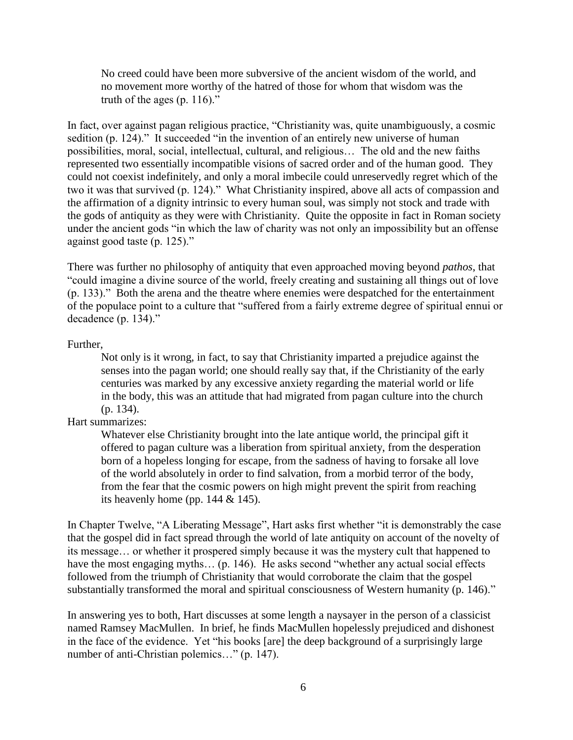No creed could have been more subversive of the ancient wisdom of the world, and no movement more worthy of the hatred of those for whom that wisdom was the truth of the ages  $(p. 116)$ ."

In fact, over against pagan religious practice, "Christianity was, quite unambiguously, a cosmic sedition (p. 124)." It succeeded "in the invention of an entirely new universe of human possibilities, moral, social, intellectual, cultural, and religious… The old and the new faiths represented two essentially incompatible visions of sacred order and of the human good. They could not coexist indefinitely, and only a moral imbecile could unreservedly regret which of the two it was that survived (p. 124)." What Christianity inspired, above all acts of compassion and the affirmation of a dignity intrinsic to every human soul, was simply not stock and trade with the gods of antiquity as they were with Christianity. Quite the opposite in fact in Roman society under the ancient gods "in which the law of charity was not only an impossibility but an offense against good taste (p. 125)."

There was further no philosophy of antiquity that even approached moving beyond *pathos*, that "could imagine a divine source of the world, freely creating and sustaining all things out of love (p. 133)." Both the arena and the theatre where enemies were despatched for the entertainment of the populace point to a culture that "suffered from a fairly extreme degree of spiritual ennui or decadence (p. 134)."

#### Further,

Not only is it wrong, in fact, to say that Christianity imparted a prejudice against the senses into the pagan world; one should really say that, if the Christianity of the early centuries was marked by any excessive anxiety regarding the material world or life in the body, this was an attitude that had migrated from pagan culture into the church (p. 134).

# Hart summarizes:

Whatever else Christianity brought into the late antique world, the principal gift it offered to pagan culture was a liberation from spiritual anxiety, from the desperation born of a hopeless longing for escape, from the sadness of having to forsake all love of the world absolutely in order to find salvation, from a morbid terror of the body, from the fear that the cosmic powers on high might prevent the spirit from reaching its heavenly home (pp.  $144 \& 145$ ).

In Chapter Twelve, "A Liberating Message", Hart asks first whether "it is demonstrably the case that the gospel did in fact spread through the world of late antiquity on account of the novelty of its message… or whether it prospered simply because it was the mystery cult that happened to have the most engaging myths... (p. 146). He asks second "whether any actual social effects followed from the triumph of Christianity that would corroborate the claim that the gospel substantially transformed the moral and spiritual consciousness of Western humanity (p. 146)."

In answering yes to both, Hart discusses at some length a naysayer in the person of a classicist named Ramsey MacMullen. In brief, he finds MacMullen hopelessly prejudiced and dishonest in the face of the evidence. Yet "his books [are] the deep background of a surprisingly large number of anti-Christian polemics..." (p. 147).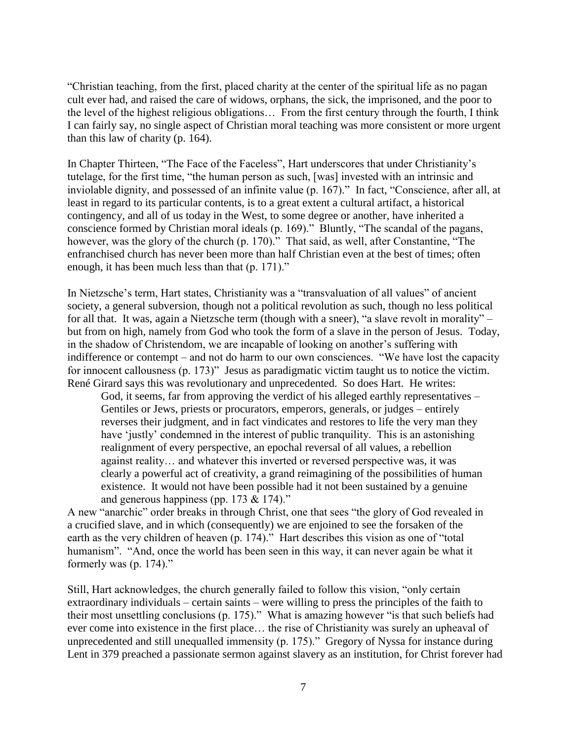"Christian teaching, from the first, placed charity at the center of the spiritual life as no pagan cult ever had, and raised the care of widows, orphans, the sick, the imprisoned, and the poor to the level of the highest religious obligations… From the first century through the fourth, I think I can fairly say, no single aspect of Christian moral teaching was more consistent or more urgent than this law of charity (p. 164).

In Chapter Thirteen, "The Face of the Faceless", Hart underscores that under Christianity's tutelage, for the first time, "the human person as such, [was] invested with an intrinsic and inviolable dignity, and possessed of an infinite value (p. 167)." In fact, "Conscience, after all, at least in regard to its particular contents, is to a great extent a cultural artifact, a historical contingency, and all of us today in the West, to some degree or another, have inherited a conscience formed by Christian moral ideals (p. 169)." Bluntly, "The scandal of the pagans, however, was the glory of the church (p. 170)." That said, as well, after Constantine, "The enfranchised church has never been more than half Christian even at the best of times; often enough, it has been much less than that (p. 171)."

In Nietzsche's term, Hart states, Christianity was a "transvaluation of all values" of ancient society, a general subversion, though not a political revolution as such, though no less political for all that. It was, again a Nietzsche term (though with a sneer), "a slave revolt in morality" – but from on high, namely from God who took the form of a slave in the person of Jesus. Today, in the shadow of Christendom, we are incapable of looking on another's suffering with indifference or contempt – and not do harm to our own consciences. "We have lost the capacity for innocent callousness (p. 173)" Jesus as paradigmatic victim taught us to notice the victim. René Girard says this was revolutionary and unprecedented. So does Hart. He writes:

God, it seems, far from approving the verdict of his alleged earthly representatives – Gentiles or Jews, priests or procurators, emperors, generals, or judges – entirely reverses their judgment, and in fact vindicates and restores to life the very man they have 'justly' condemned in the interest of public tranquility. This is an astonishing realignment of every perspective, an epochal reversal of all values, a rebellion against reality… and whatever this inverted or reversed perspective was, it was clearly a powerful act of creativity, a grand reimagining of the possibilities of human existence. It would not have been possible had it not been sustained by a genuine and generous happiness (pp. 173 & 174)."

A new "anarchic" order breaks in through Christ, one that sees "the glory of God revealed in a crucified slave, and in which (consequently) we are enjoined to see the forsaken of the earth as the very children of heaven (p. 174)." Hart describes this vision as one of "total humanism". "And, once the world has been seen in this way, it can never again be what it formerly was (p. 174)."

Still, Hart acknowledges, the church generally failed to follow this vision, "only certain extraordinary individuals – certain saints – were willing to press the principles of the faith to their most unsettling conclusions (p. 175)." What is amazing however "is that such beliefs had ever come into existence in the first place… the rise of Christianity was surely an upheaval of unprecedented and still unequalled immensity (p. 175)." Gregory of Nyssa for instance during Lent in 379 preached a passionate sermon against slavery as an institution, for Christ forever had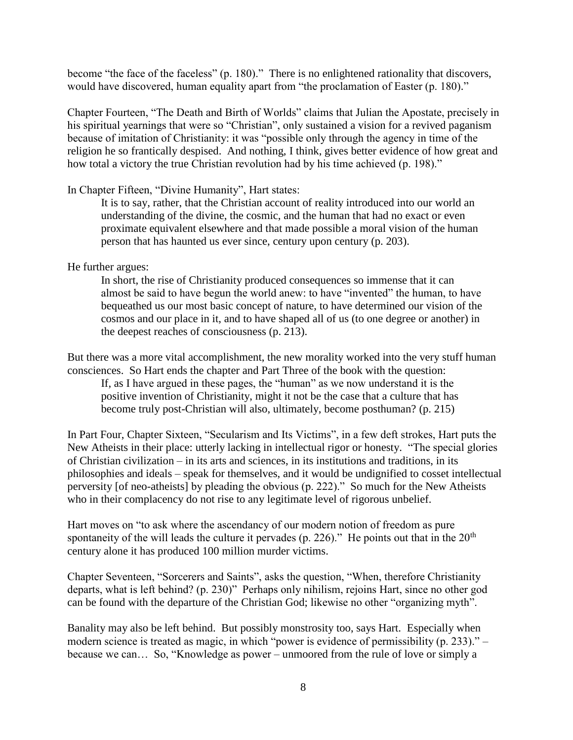become "the face of the faceless" (p. 180)." There is no enlightened rationality that discovers, would have discovered, human equality apart from "the proclamation of Easter (p. 180)."

Chapter Fourteen, "The Death and Birth of Worlds" claims that Julian the Apostate, precisely in his spiritual yearnings that were so "Christian", only sustained a vision for a revived paganism because of imitation of Christianity: it was "possible only through the agency in time of the religion he so frantically despised. And nothing, I think, gives better evidence of how great and how total a victory the true Christian revolution had by his time achieved (p. 198)."

# In Chapter Fifteen, "Divine Humanity", Hart states:

It is to say, rather, that the Christian account of reality introduced into our world an understanding of the divine, the cosmic, and the human that had no exact or even proximate equivalent elsewhere and that made possible a moral vision of the human person that has haunted us ever since, century upon century (p. 203).

# He further argues:

In short, the rise of Christianity produced consequences so immense that it can almost be said to have begun the world anew: to have "invented" the human, to have bequeathed us our most basic concept of nature, to have determined our vision of the cosmos and our place in it, and to have shaped all of us (to one degree or another) in the deepest reaches of consciousness (p. 213).

But there was a more vital accomplishment, the new morality worked into the very stuff human consciences. So Hart ends the chapter and Part Three of the book with the question:

If, as I have argued in these pages, the "human" as we now understand it is the positive invention of Christianity, might it not be the case that a culture that has become truly post-Christian will also, ultimately, become posthuman? (p. 215)

In Part Four, Chapter Sixteen, "Secularism and Its Victims", in a few deft strokes, Hart puts the New Atheists in their place: utterly lacking in intellectual rigor or honesty. "The special glories of Christian civilization – in its arts and sciences, in its institutions and traditions, in its philosophies and ideals – speak for themselves, and it would be undignified to cosset intellectual perversity [of neo-atheists] by pleading the obvious (p. 222)." So much for the New Atheists who in their complacency do not rise to any legitimate level of rigorous unbelief.

Hart moves on "to ask where the ascendancy of our modern notion of freedom as pure spontaneity of the will leads the culture it pervades (p. 226)." He points out that in the  $20<sup>th</sup>$ century alone it has produced 100 million murder victims.

Chapter Seventeen, "Sorcerers and Saints", asks the question, "When, therefore Christianity departs, what is left behind? (p. 230)" Perhaps only nihilism, rejoins Hart, since no other god can be found with the departure of the Christian God; likewise no other "organizing myth".

Banality may also be left behind. But possibly monstrosity too, says Hart. Especially when modern science is treated as magic, in which "power is evidence of permissibility (p. 233)." – because we can… So, "Knowledge as power – unmoored from the rule of love or simply a